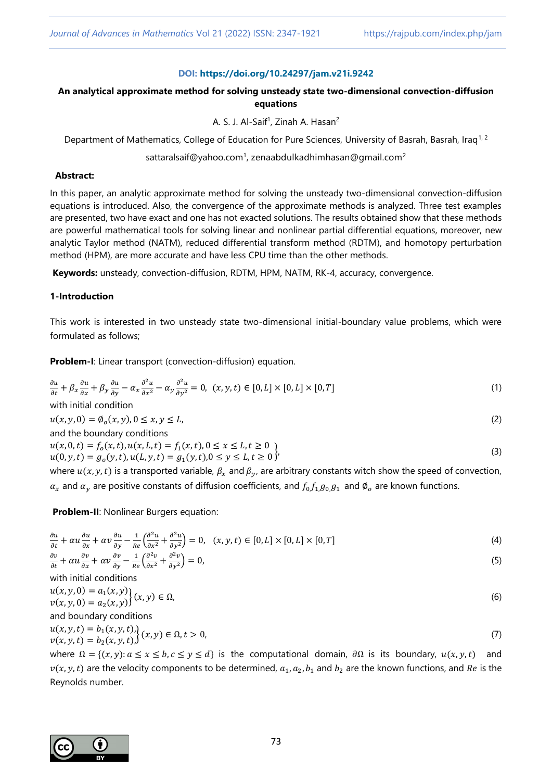### **DOI: <https://doi.org/10.24297/jam.v21i.9242>**

# **An analytical approximate method for solving unsteady state two-dimensional convection-diffusion equations**

A. S. J. Al-Saif<sup>1</sup>, Zinah A. Hasan<sup>2</sup>

Department of Mathematics, College of Education for Pure Sciences, University of Basrah, Basrah, Iraq<sup>1,2</sup>

### sattaralsaif@yahoo.com<sup>1</sup>, zenaabdulkadhimhasan@gmail.com<sup>2</sup>

#### **Abstract:**

In this paper, an analytic approximate method for solving the unsteady two-dimensional convection-diffusion equations is introduced. Also, the convergence of the approximate methods is analyzed. Three test examples are presented, two have exact and one has not exacted solutions. The results obtained show that these methods are powerful mathematical tools for solving linear and nonlinear partial differential equations, moreover, new analytic Taylor method (NATM), reduced differential transform method (RDTM), and homotopy perturbation method (HPM), are more accurate and have less CPU time than the other methods.

**Keywords:** unsteady, convection-diffusion, RDTM, HPM, NATM, RK-4, accuracy, convergence.

### **1-Introduction**

This work is interested in two unsteady state two-dimensional initial-boundary value problems, which were formulated as follows;

**Problem-I**: Linear transport (convection-diffusion) equation.

$$
\frac{\partial u}{\partial t} + \beta_x \frac{\partial u}{\partial x} + \beta_y \frac{\partial u}{\partial y} - \alpha_x \frac{\partial^2 u}{\partial x^2} - \alpha_y \frac{\partial^2 u}{\partial y^2} = 0, \ (x, y, t) \in [0, L] \times [0, L] \times [0, T]
$$
 (1)

with initial condition  $u(x, y, 0) = \emptyset_o(x, y), 0 \le x, y \le L,$  (2)

and the boundary conditions  $u(x, 0,t) = f_0(x,t), u(x, L, t) = f_1(x,t), 0 \le x \le L, t \ge 0$  $u(0, y, t) = g_0(y, t), u(L, y, t) = g_1(y, t), 0 \le y \le L, t \ge 0$  $\{ \tag{3} \}$ 

where  $u(x, y, t)$  is a transported variable,  $\beta_x$  and  $\beta_y$ , are arbitrary constants witch show the speed of convection,  $\alpha_x$  and  $\alpha_y$  are positive constants of diffusion coefficients, and  $f_0, f_1, g_0, g_1$  and  $\emptyset_o$  are known functions.

**Problem-II**: Nonlinear Burgers equation:

$$
\frac{\partial u}{\partial t} + \alpha u \frac{\partial u}{\partial x} + \alpha v \frac{\partial u}{\partial y} - \frac{1}{Re} \left( \frac{\partial^2 u}{\partial x^2} + \frac{\partial^2 u}{\partial y^2} \right) = 0, \quad (x, y, t) \in [0, L] \times [0, L] \times [0, T]
$$
\n(4)

$$
\frac{\partial v}{\partial t} + \alpha u \frac{\partial v}{\partial x} + \alpha v \frac{\partial v}{\partial y} - \frac{1}{Re} \left( \frac{\partial^2 v}{\partial x^2} + \frac{\partial^2 v}{\partial y^2} \right) = 0,
$$
\n<sup>(5)</sup>

with initial conditions

$$
u(x, y, 0) = a_1(x, y) \{x, y\} \in \Omega, v(x, y, 0) = a_2(x, y) \{x, y\} \in \Omega,
$$
\n(6)

and boundary conditions

$$
u(x, y, t) = b_1(x, y, t), v(x, y, t) = b_2(x, y, t), (7)
$$
\n
$$
(7)
$$

where  $\Omega = \{(x, y): a \le x \le b, c \le y \le d\}$  is the computational domain,  $\partial \Omega$  is its boundary,  $u(x, y, t)$  and  $v(x, y, t)$  are the velocity components to be determined,  $a_1, a_2, b_1$  and  $b_2$  are the known functions, and Re is the Reynolds number.

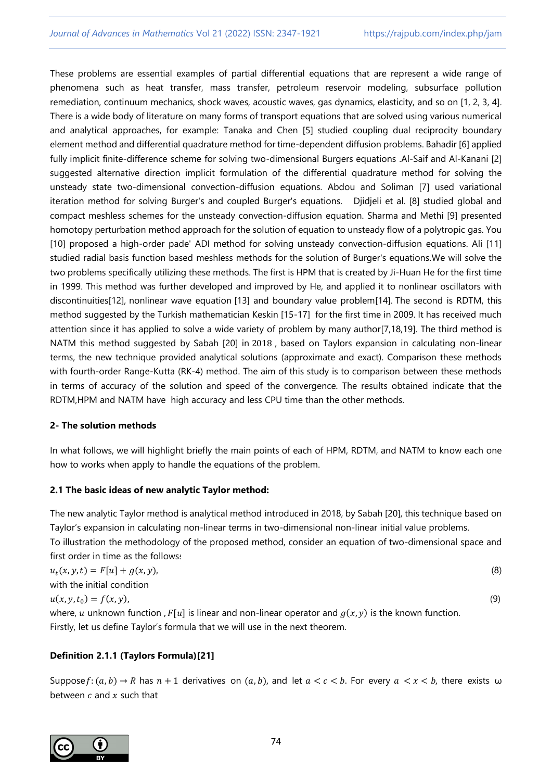These problems are essential examples of partial differential equations that are represent a wide range of phenomena such as heat transfer, mass transfer, petroleum reservoir modeling, subsurface pollution remediation, continuum mechanics, shock waves, acoustic waves, gas dynamics, elasticity, and so on [1, 2, 3, 4]. There is a wide body of literature on many forms of transport equations that are solved using various numerical and analytical approaches, for example: Tanaka and Chen [5] studied coupling dual reciprocity boundary element method and differential quadrature method for time-dependent diffusion problems. Bahadir [6] applied fully implicit finite-difference scheme for solving two-dimensional Burgers equations .Al-Saif and Al-Kanani [2] suggested alternative direction implicit formulation of the differential quadrature method for solving the unsteady state two-dimensional convection-diffusion equations. Abdou and Soliman [7] used variational iteration method for solving Burger's and coupled Burger's equations. Djidjeli et al. [8] studied global and compact meshless schemes for the unsteady convection-diffusion equation. Sharma and Methi [9] presented homotopy perturbation method approach for the solution of equation to unsteady flow of a polytropic gas. You [10] proposed a high-order pade' ADI method for solving unsteady convection-diffusion equations. Ali [11] studied radial basis function based meshless methods for the solution of Burger's equations.We will solve the two problems specifically utilizing these methods. The first is HPM that is created by Ji-Huan He for the first time in 1999. This method was further developed and improved by He, and applied it to nonlinear oscillators with discontinuities]12], nonlinear wave equation [13] and boundary value problem[14]. The second is RDTM, this method suggested by the Turkish mathematician Keskin [15-17] for the first time in 2009. It has received much attention since it has applied to solve a wide variety of problem by many author[7,18,19]. The third method is NATM this method suggested by Sabah [20] in 2018 , based on Taylors expansion in calculating non-linear terms, the new technique provided analytical solutions (approximate and exact). Comparison these methods with fourth-order Range-Kutta (RK-4) method. The aim of this study is to comparison between these methods in terms of accuracy of the solution and speed of the convergence. The results obtained indicate that the RDTM,HPM and NATM have high accuracy and less CPU time than the other methods.

# **2- The solution methods**

In what follows, we will highlight briefly the main points of each of HPM, RDTM, and NATM to know each one how to works when apply to handle the equations of the problem.

# **2.1 The basic ideas of new analytic Taylor method:**

Firstly, let us define Taylor's formula that we will use in the next theorem.

The new analytic Taylor method is analytical method introduced in 2018, by Sabah [20], this technique based on Taylor's expansion in calculating non-linear terms in two-dimensional non-linear initial value problems. To illustration the methodology of the proposed method, consider an equation of two-dimensional space and

| first order in time as the follows:                                                                      |     |
|----------------------------------------------------------------------------------------------------------|-----|
| $u_t(x, y, t) = F[u] + g(x, y)$ ,                                                                        | (8) |
| with the initial condition                                                                               |     |
| $u(x, y, t_0) = f(x, y),$                                                                                | (9) |
| where, u unknown function, $F[u]$ is linear and non-linear operator and $g(x, y)$ is the known function. |     |

# **Definition 2.1.1 (Taylors Formula)[21]**

Suppose  $f: (a, b) \to R$  has  $n + 1$  derivatives on  $(a, b)$ , and let  $a < c < b$ . For every  $a < x < b$ , there exists  $\omega$ between  $c$  and  $x$  such that

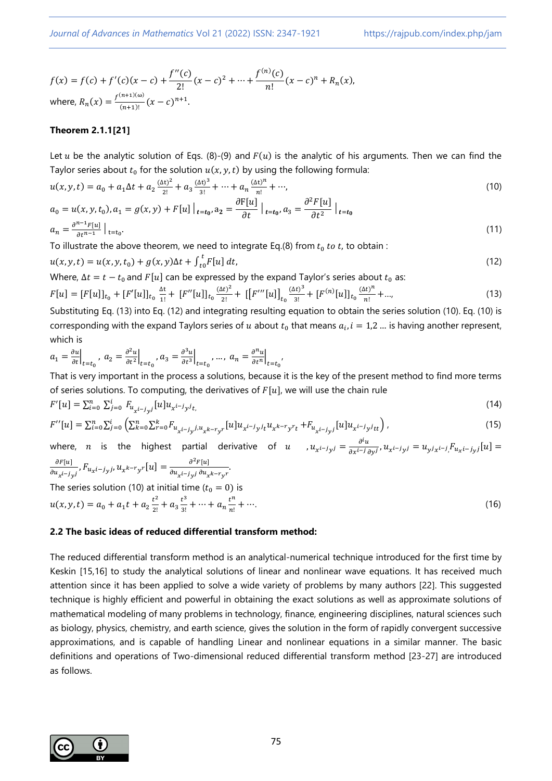$$
f(x) = f(c) + f'(c)(x - c) + \frac{f''(c)}{2!}(x - c)^2 + \dots + \frac{f^{(n)}(c)}{n!}(x - c)^n + R_n(x),
$$
  
where,  $R_n(x) = \frac{f^{(n+1)(\omega)}}{(n+1)!}(x - c)^{n+1}.$ 

## **Theorem 2.1.1[21]**

Let u be the analytic solution of Eqs. (8)-(9) and  $F(u)$  is the analytic of his arguments. Then we can find the Taylor series about  $t_0$  for the solution  $u(x,y,t)$  by using the following formula:

$$
u(x, y, t) = a_0 + a_1 \Delta t + a_2 \frac{(\Delta t)^2}{2!} + a_3 \frac{(\Delta t)^3}{3!} + \dots + a_n \frac{(\Delta t)^n}{n!} + \dots,
$$
\n(10)

$$
a_0 = u(x, y, t_0), a_1 = g(x, y) + F[u] \Big|_{t=t_0}, a_2 = \frac{\partial F[u]}{\partial t} \Big|_{t=t_0}, a_3 = \frac{\partial^2 F[u]}{\partial t^2} \Big|_{t=t_0}
$$
  
\n
$$
a_n = \frac{\partial^{n-1} F[u]}{\partial t^{n-1}} \Big|_{t=t_0}.
$$
\n(11)

To illustrate the above theorem, we need to integrate Eq.(8) from  $t_0$  to t, to obtain :

$$
u(x, y, t) = u(x, y, t_0) + g(x, y)\Delta t + \int_{t_0}^t F[u] dt,
$$
\n(12)

Where,  $\Delta t = t - t_0$  and  $F[u]$  can be expressed by the expand Taylor's series about  $t_0$  as:

$$
F[u] = [F[u]]_{t_0} + [F'[u]]_{t_0} \frac{\Delta t}{1!} + [F''[u]]_{t_0} \frac{(\Delta t)^2}{2!} + [[F'''[u]]_{t_0} \frac{(\Delta t)^3}{3!} + [F^{(n)}[u]]_{t_0} \frac{(\Delta t)^n}{n!} + \dots, \tag{13}
$$

Substituting Eq. (13) into Eq. (12) and integrating resulting equation to obtain the series solution (10). Eq. (10) is corresponding with the expand Taylors series of u about  $t_0$  that means  $a_i$ ,  $i = 1,2$  ... is having another represent, which is

$$
a_1 = \frac{\partial u}{\partial t}\Big|_{t=t_0}, \; a_2 = \frac{\partial^2 u}{\partial t^2}\Big|_{t=t_0}, \; a_3 = \frac{\partial^3 u}{\partial t^3}\Big|_{t=t_0}, \; \ldots, \; a_n = \frac{\partial^n u}{\partial t^n}\Big|_{t=t_0},
$$

That is very important in the process a solutions, because it is the key of the present method to find more terms of series solutions. To computing, the derivatives of  $F[u]$ , we will use the chain rule

$$
F'[u] = \sum_{i=0}^{n} \sum_{j=0}^{i} F_{u_{x^{i-j}y^{j}}}[u]u_{x^{i-j}y^{j}t, \tag{14}
$$

$$
F''[u] = \sum_{i=0}^{n} \sum_{j=0}^{i} \left( \sum_{k=0}^{n} \sum_{r=0}^{k} F_{u_{x^{i-j}y}j, u_{x^{k-r}y}r}[u] u_{x^{i-j}y}i_t u_{x^{k-r}y}r_t + F_{u_{x^{i-j}y}j}[u] u_{x^{i-j}y}i_{tt} \right),
$$
\n(15)

where,  $n$  is the highest partial derivative of  $u$  ,  $u_{x^{i-j}y^{j}}=\frac{\partial^{i}u}{\partial x^{i-j}}$  $\frac{\partial^2 u}{\partial x^{i-j} \partial y^j}$ ,  $u_{x^{i-j}y^j} = u_{y^jx^{i-j}} F_{u_{x^{i-j}y^j}}[u] =$  $\partial F[u]$  $\frac{\partial F[u]}{\partial u_{x^{i-j}y^{j}}}, F_{u_{x^{i-j}y^{j}}}, u_{x^{k-r}y^{r}}[u] = \frac{\partial^2 F[u]}{\partial u_{x^{i-j}y^{j}} \partial u_{x^{i-j}y^{j}}}$  $\frac{\partial u_{x^{i-j}y^{j}}\partial u_{x^{k-r}y^{r}}}{\partial u_{x^{i-j}y^{j}}\partial u_{x^{k-r}y^{r}}}.$ The series solution (10) at initial time ( $t_0 = 0$ ) is 2 3 n

$$
u(x, y, t) = a_0 + a_1 t + a_2 \frac{t^2}{2!} + a_3 \frac{t^3}{3!} + \dots + a_n \frac{t^n}{n!} + \dots
$$
 (16)

### **2.2 The basic ideas of reduced differential transform method:**

The reduced differential transform method is an analytical-numerical technique introduced for the first time by Keskin [15,16] to study the analytical solutions of linear and nonlinear wave equations. It has received much attention since it has been applied to solve a wide variety of problems by many authors [22]. This suggested technique is highly efficient and powerful in obtaining the exact solutions as well as approximate solutions of mathematical modeling of many problems in technology, finance, engineering disciplines, natural sciences such as biology, physics, chemistry, and earth science, gives the solution in the form of rapidly convergent successive approximations, and is capable of handling Linear and nonlinear equations in a similar manner. The basic definitions and operations of Two-dimensional reduced differential transform method [23-27] are introduced as follows.

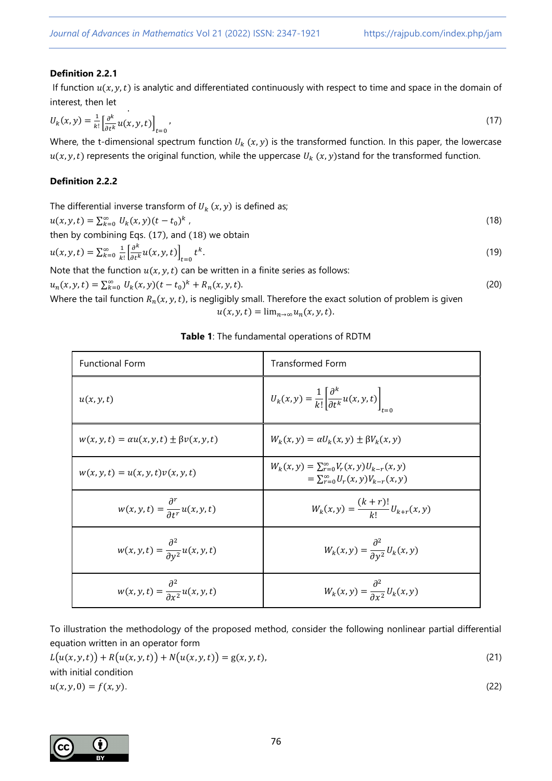## **Definition 2.2.1**

If function  $u(x, y, t)$  is analytic and differentiated continuously with respect to time and space in the domain of interest, then let

$$
U_k(x, y) = \frac{1}{k!} \left[ \frac{\partial^k}{\partial t^k} u(x, y, t) \right]_{t=0},
$$
\n(17)

Where, the t-dimensional spectrum function  $U_k(x, y)$  is the transformed function. In this paper, the lowercase  $u(x, y, t)$  represents the original function, while the uppercase  $U_k(x, y)$ stand for the transformed function.

## **Definition 2.2.2**

| The differential inverse transform of $U_k(x, y)$ is defined as;                                                           |      |
|----------------------------------------------------------------------------------------------------------------------------|------|
| $u(x, y, t) = \sum_{k=0}^{\infty} U_k(x, y) (t - t_0)^k$ ,                                                                 | (18) |
| then by combining Eqs. (17), and (18) we obtain                                                                            |      |
| $u(x, y, t) = \sum_{k=0}^{\infty} \frac{1}{k!} \left[ \frac{\partial^{k}}{\partial t^{k}} u(x, y, t) \right]_{t=0} t^{k}.$ | (19) |
| Note that the function $u(x, y, t)$ can be written in a finite series as follows:                                          |      |
| $u_n(x, y, t) = \sum_{k=0}^{\infty} U_k(x, y)(t - t_0)^k + R_n(x, y, t).$                                                  | (20) |

Where the tail function  $R_n(x,y,t)$ , is negligibly small. Therefore the exact solution of problem is given  $u(x, y, t) = \lim_{n\to\infty} u_n(x, y, t).$ 

| Table 1: The fundamental operations of RDTM |  |
|---------------------------------------------|--|
|---------------------------------------------|--|

| <b>Functional Form</b>                                    | <b>Transformed Form</b>                                                                                 |
|-----------------------------------------------------------|---------------------------------------------------------------------------------------------------------|
| u(x, y, t)                                                | $U_k(x, y) = \frac{1}{k!} \left  \frac{\partial^k}{\partial t^k} u(x, y, t) \right $                    |
| $w(x, y, t) = \alpha u(x, y, t) \pm \beta v(x, y, t)$     | $W_k(x, y) = \alpha U_k(x, y) \pm \beta V_k(x, y)$                                                      |
| $w(x, y, t) = u(x, y, t)v(x, y, t)$                       | $W_k(x, y) = \sum_{r=0}^{\infty} V_r(x, y) U_{k-r}(x, y)$<br>$=\sum_{r=0}^{\infty}U_r(x,y)V_{k-r}(x,y)$ |
| $w(x, y, t) = \frac{\partial^r}{\partial t^r} u(x, y, t)$ | $W_k(x, y) = \frac{(k+r)!}{k!} U_{k+r}(x, y)$                                                           |
| $w(x, y, t) = \frac{\partial^2}{\partial y^2} u(x, y, t)$ | $W_k(x,y) = \frac{\partial^2}{\partial y^2} U_k(x,y)$                                                   |
| $w(x, y, t) = \frac{\partial^2}{\partial x^2} u(x, y, t)$ | $W_k(x,y) = \frac{\partial^2}{\partial x^2} U_k(x,y)$                                                   |

To illustration the methodology of the proposed method, consider the following nonlinear partial differential equation written in an operator form

$$
L(u(x, y, t)) + R(u(x, y, t)) + N(u(x, y, t)) = g(x, y, t),
$$
  
\nwith initial condition  
\n
$$
u(x, y, 0) = f(x, y).
$$
\n(22)

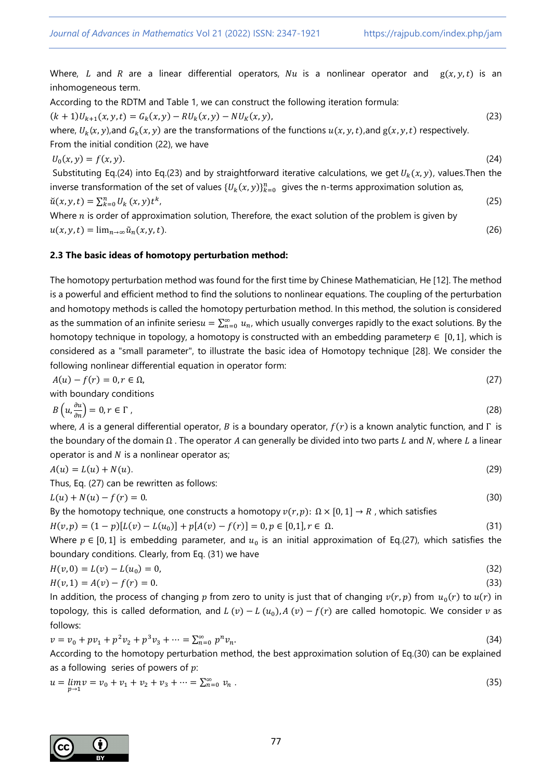Where, L and R are a linear differential operators, Nu is a nonlinear operator and  $g(x, y, t)$  is an inhomogeneous term.

According to the RDTM and Table 1, we can construct the following iteration formula:

$$
(k+1)U_{k+1}(x, y, t) = G_k(x, y) - RU_k(x, y) - NU_k(x, y),
$$
\n(23)

where,  $U_k(x, y)$ ,and  $G_k(x, y)$  are the transformations of the functions  $u(x, y, t)$ ,and  $g(x, y, t)$  respectively. From the initial condition (22), we have

$$
U_0(x, y) = f(x, y). \tag{24}
$$

Substituting Eq.(24) into Eq.(23) and by straightforward iterative calculations, we get  $U_k(x, y)$ , values. Then the inverse transformation of the set of values  $\{U_k(x,y)\}_{k=0}^n$  gives the n-terms approximation solution as,  $\check{u}(x, y, t) = \sum_{k=0}^{n} U_k(x, y) t^k$ ,  $(25)$ 

Where  $n$  is order of approximation solution, Therefore, the exact solution of the problem is given by  $u(x, y, t) = \lim_{n \to \infty} \tilde{u}_n(x, y, t).$  (26)

## **2.3 The basic ideas of homotopy perturbation method:**

The homotopy perturbation method was found for the first time by Chinese Mathematician, He [12]. The method is a powerful and efficient method to find the solutions to nonlinear equations. The coupling of the perturbation and homotopy methods is called the homotopy perturbation method. In this method, the solution is considered as the summation of an infinite series $u = \sum_{n=0}^{\infty} u_n$ , which usually converges rapidly to the exact solutions. By the homotopy technique in topology, a homotopy is constructed with an embedding parameter  $p \in [0, 1]$ , which is considered as a "small parameter", to illustrate the basic idea of Homotopy technique [28]. We consider the following nonlinear differential equation in operator form:

$$
A(u) - f(r) = 0, r \in \Omega,
$$
\n<sup>(27)</sup>

with boundary conditions

$$
B\left(u, \frac{\partial u}{\partial n}\right) = 0, r \in \Gamma \tag{28}
$$

where, A is a general differential operator, B is a boundary operator,  $f(r)$  is a known analytic function, and  $\Gamma$  is the boundary of the domain  $\Omega$ . The operator A can generally be divided into two parts L and N, where L a linear operator is and  $N$  is a nonlinear operator as;

$$
A(u) = L(u) + N(u). \tag{29}
$$

Thus, Eq. (27) can be rewritten as follows:

 $L(u) + N(u) - f(r) = 0.$  (30)

By the homotopy technique, one constructs a homotopy  $v(r, p)$ :  $\Omega \times [0, 1] \rightarrow R$ , which satisfies

$$
H(v,p) = (1-p)[L(v) - L(u_0)] + p[A(v) - f(r)] = 0, p \in [0,1], r \in \Omega.
$$
\n(31)

Where  $p \in [0,1]$  is embedding parameter, and  $u_0$  is an initial approximation of Eq.(27), which satisfies the boundary conditions. Clearly, from Eq. (31) we have

$$
H(v,0) = L(v) - L(u_0) = 0,\tag{32}
$$

$$
H(v,1) = A(v) - f(r) = 0.
$$
\n(33)

In addition, the process of changing p from zero to unity is just that of changing  $v(r, p)$  from  $u_0(r)$  to  $u(r)$  in topology, this is called deformation, and  $L(v) - L(u_0)$ ,  $A(v) - f(r)$  are called homotopic. We consider  $v$  as follows:

$$
v = v_0 + pv_1 + p^2 v_2 + p^3 v_3 + \dots = \sum_{n=0}^{\infty} p^n v_n.
$$
\n(34)

According to the homotopy perturbation method, the best approximation solution of Eq.(30) can be explained as a following series of powers of  $p$ :

$$
u = \lim_{p \to 1} v = v_0 + v_1 + v_2 + v_3 + \dots = \sum_{n=0}^{\infty} v_n \tag{35}
$$

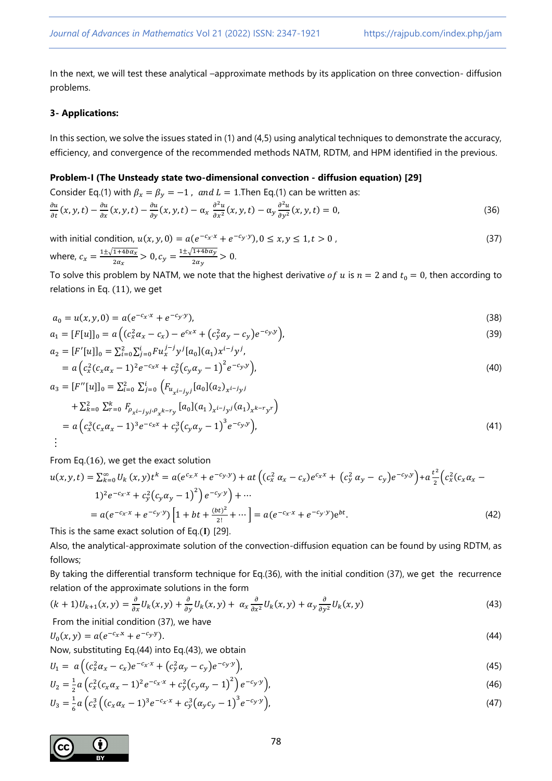In the next, we will test these analytical –approximate methods by its application on three convection- diffusion problems.

## **3- Applications:**

In this section, we solve the issues stated in (1) and (4,5) using analytical techniques to demonstrate the accuracy, efficiency, and convergence of the recommended methods NATM, RDTM, and HPM identified in the previous.

## **Problem-I (The Unsteady state two-dimensional convection - diffusion equation) [29]**

Consider Eq.(1) with 
$$
\beta_x = \beta_y = -1
$$
, and  $L = 1$ . Then Eq.(1) can be written as:  
\n
$$
\frac{\partial u}{\partial t}(x, y, t) - \frac{\partial u}{\partial x}(x, y, t) - \frac{\partial u}{\partial y}(x, y, t) - \alpha_x \frac{\partial^2 u}{\partial x^2}(x, y, t) - \alpha_y \frac{\partial^2 u}{\partial y^2}(x, y, t) = 0,
$$
\n(36)

with initial condition, 
$$
u(x, y, 0) = a(e^{-c_x \cdot x} + e^{-c_y \cdot y}), 0 \le x, y \le 1, t > 0
$$
,  
where,  $c_x = \frac{1 \pm \sqrt{1 + 4b\alpha_x}}{2\alpha_x} > 0, c_y = \frac{1 \pm \sqrt{1 + 4b\alpha_y}}{2\alpha_y} > 0$ . (37)

To solve this problem by NATM, we note that the highest derivative of u is  $n = 2$  and  $t_0 = 0$ , then according to relations in Eq. (11), we get

$$
a_0 = u(x, y, 0) = a(e^{-c_x \cdot x} + e^{-c_y \cdot y}),
$$
\n(38)

$$
a_1 = [F[u]]_0 = a\left( (c_x^2 \alpha_x - c_x) - e^{c_x x} + (c_y^2 \alpha_y - c_y)e^{-c_y y} \right),
$$
\n(39)

$$
a_2 = [F'[u]]_0 = \sum_{i=0}^{2} \sum_{j=0}^{i} F u_x^{j-j} y^j [a_0](a_1) x^{i-j} y^j,
$$
  
=  $a (c_x^2 (c_x \alpha_x - 1)^2 e^{-c_x x} + c_y^2 (c_y \alpha_y - 1)^2 e^{-c_y y})$ , (40)

$$
a_3 = [F''[u]]_0 = \sum_{i=0}^{2} \sum_{j=0}^{i} \left( F_{u_{x^{i-j}y^{j}}}[a_0](a_2)_{x^{i-j}y^{j}} + \sum_{k=0}^{2} \sum_{r=0}^{k} F_{\rho_{x^{i-j}y^{j}}\rho_{x^{k-r}y}}[a_0](a_1)_{x^{i-j}y^{j}}(a_1)_{x^{k-r}y^{r}} \right)
$$
  
=  $a \left( c_x^3(c_x \alpha_x - 1)^3 e^{-c_x x} + c_y^3(c_y \alpha_y - 1)^3 e^{-c_y y} \right),$  (41)

From Eq.(16), we get the exact solution

$$
u(x, y, t) = \sum_{k=0}^{\infty} U_k(x, y)t^k = a(e^{c_x x} + e^{-c_y y}) + at\left( (c_x^2 \alpha_x - c_x)e^{c_x x} + (c_y^2 \alpha_y - c_y)e^{-c_y y} \right) + a\frac{t^2}{2} \left( c_x^2 (c_x \alpha_x - 1)^2 e^{-c_x x} + c_y^2 (c_y \alpha_y - 1)^2 \right) e^{-c_y y} + \cdots
$$
  
\n
$$
= a(e^{-c_x x} + e^{-c_y y}) \left[ 1 + bt + \frac{(bt)^2}{2!} + \cdots \right] = a(e^{-c_x x} + e^{-c_y y})e^{bt}.
$$
\n(42)

This is the same exact solution of Eq.(I) [29].

Also, the analytical-approximate solution of the convection-diffusion equation can be found by using RDTM, as follows;

By taking the differential transform technique for Eq.(36), with the initial condition (37), we get the recurrence relation of the approximate solutions in the form

$$
(k+1)U_{k+1}(x,y) = \frac{\partial}{\partial x}U_k(x,y) + \frac{\partial}{\partial y}U_k(x,y) + \alpha_x \frac{\partial}{\partial x^2}U_k(x,y) + \alpha_y \frac{\partial}{\partial y^2}U_k(x,y)
$$
(43)

From the initial condition (37), we have

$$
U_0(x,y) = a(e^{-c_x x} + e^{-c_y y}).
$$
\n(44)

Now, substituting Eq.(44) into Eq.(43), we obtain

$$
U_1 = a \left( (c_x^2 \alpha_x - c_x) e^{-c_x x} + (c_y^2 \alpha_y - c_y) e^{-c_y y} \right),
$$
\n(45)

$$
U_2 = \frac{1}{2}a\left(c_x^2(c_x\alpha_x - 1)^2e^{-c_x\alpha} + c_y^2(c_y\alpha_y - 1)^2\right)e^{-c_y\gamma},\tag{46}
$$

$$
U_3 = \frac{1}{6}a\left(c_x^3\left((c_x\alpha_x - 1)^3 e^{-c_x x} + c_y^3(\alpha_y c_y - 1)^3 e^{-c_y y}\right)\right)
$$
\n(47)

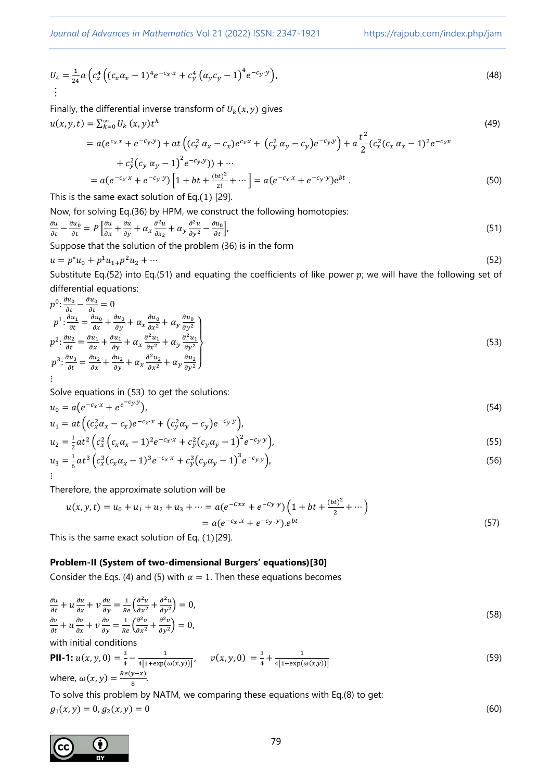*Journal of Advances in Mathematics* Vol 21 (2022) ISSN: 2347-1921 https://rajpub.com/index.php/jam

$$
U_4 = \frac{1}{24} a \left( c_x^4 \left( (c_x \alpha_x - 1)^4 e^{-c_x x} + c_y^4 \left( \alpha_y c_y - 1 \right)^4 e^{-c_y y} \right) \right),
$$
\n
$$
\vdots
$$
\n(48)

Finally, the differential inverse transform of  $U_k(x, y)$  gives  $u(x, y, t) = \sum_{k=0}^{\infty} U_k(x, y) t^k$ (49)

$$
= a(e^{c_x x} + e^{-c_y y}) + at\left((c_x^2 \alpha_x - c_x)e^{c_x x} + (c_y^2 \alpha_y - c_y)e^{-c_y y}\right) + a\frac{t^2}{2}(c_x^2 (c_x \alpha_x - 1)^2 e^{-c_x x} + c_y^2 (c_y \alpha_y - 1)^2 e^{-c_y y}) + \cdots
$$

$$
= a(e^{-c_x \cdot x} + e^{-c_y \cdot y}) \left[ 1 + bt + \frac{(bt)^2}{2!} + \cdots \right] = a(e^{-c_x \cdot x} + e^{-c_y \cdot y}) e^{bt} . \tag{50}
$$

This is the same exact solution of Eq.(1) [29].

Now, for solving Eq.(36) by HPM, we construct the following homotopies:

$$
\frac{\partial u}{\partial t} - \frac{\partial u_0}{\partial t} = P \left[ \frac{\partial u}{\partial x} + \frac{\partial u}{\partial y} + \alpha_x \frac{\partial^2 u}{\partial x_2} + \alpha_y \frac{\partial^2 u}{\partial y^2} - \frac{\partial u_0}{\partial t} \right],\tag{51}
$$

Suppose that the solution of the problem (36) is in the form

$$
u = p^{\circ}u_0 + p^1u_{1+}p^2u_2 + \cdots \tag{52}
$$

Substitute Eq.(52) into Eq.(51) and equating the coefficients of like power  $p$ ; we will have the following set of differential equations:

$$
p^{0}: \frac{\partial u_{0}}{\partial t} - \frac{\partial u_{0}}{\partial t} = 0
$$
  
\n
$$
p^{1}: \frac{\partial u_{1}}{\partial t} = \frac{\partial u_{0}}{\partial x} + \frac{\partial u_{0}}{\partial y} + \alpha_{x} \frac{\partial u_{0}}{\partial x^{2}} + \alpha_{y} \frac{\partial u_{0}}{\partial y^{2}}
$$
  
\n
$$
p^{2}: \frac{\partial u_{2}}{\partial t} = \frac{\partial u_{1}}{\partial x} + \frac{\partial u_{1}}{\partial y} + \alpha_{x} \frac{\partial^{2} u_{1}}{\partial x^{2}} + \alpha_{y} \frac{\partial^{2} u_{1}}{\partial y^{2}}
$$
  
\n
$$
p^{3}: \frac{\partial u_{3}}{\partial t} = \frac{\partial u_{2}}{\partial x} + \frac{\partial u_{2}}{\partial y} + \alpha_{x} \frac{\partial^{2} u_{2}}{\partial x^{2}} + \alpha_{y} \frac{\partial u_{2}}{\partial y^{2}}
$$
  
\n
$$
\vdots
$$
\n(53)

Solve equations in (53) to get the solutions:

$$
u_0 = a(e^{-c_x x} + e^{e^{-c_y y}}),
$$
  
\n
$$
u_1 = at\left((c_x^2 \alpha_x - c_x)e^{-c_x x} + (c_y^2 \alpha_y - c_y)e^{-c_y y}\right),
$$
\n(54)

$$
u_2 = \frac{1}{2}at^2 \left(c_x^2 \left(c_x \alpha_x - 1\right)^2 e^{-c_x x} + c_y^2 \left(c_y \alpha_y - 1\right)^2 e^{-c_y y}\right),\tag{55}
$$

$$
u_3 = \frac{1}{6}at^3\left(c_x^3(c_x\alpha_x - 1)^3e^{-c_x x} + c_y^3(c_y\alpha_y - 1)^3e^{-c_y y}\right),\tag{56}
$$

Therefore, the approximate solution will be

$$
u(x, y, t) = u_0 + u_1 + u_2 + u_3 + \dots = a(e^{-cx} + e^{-cy \cdot y}) \left( 1 + bt + \frac{(bt)^2}{2} + \dots \right)
$$
  
=  $a(e^{-c_x x} + e^{-c_y y}) \cdot e^{bt}$  (57)

This is the same exact solution of Eq. (1)[29].

## **Problem-II (System of two-dimensional Burgers' equations)[30]**

Consider the Eqs. (4) and (5) with  $\alpha = 1$ . Then these equations becomes

$$
\frac{\partial u}{\partial t} + u \frac{\partial u}{\partial x} + v \frac{\partial u}{\partial y} = \frac{1}{Re} \left( \frac{\partial^2 u}{\partial x^2} + \frac{\partial^2 u}{\partial y^2} \right) = 0,
$$
\n
$$
\frac{\partial v}{\partial t} + u \frac{\partial v}{\partial x} + v \frac{\partial v}{\partial y} = \frac{1}{Re} \left( \frac{\partial^2 v}{\partial x^2} + \frac{\partial^2 v}{\partial y^2} \right) = 0,
$$
\n(58)

with initial conditions

**PII-1:** 
$$
u(x, y, 0) = \frac{3}{4} - \frac{1}{4[1 + \exp(\omega(x, y))]}
$$
,  $v(x, y, 0) = \frac{3}{4} + \frac{1}{4[1 + \exp(\omega(x, y))]}$   
where,  $\omega(x, y) = \frac{Re(y - x)}{8}$ . (59)

To solve this problem by NATM, we comparing these equations with Eq.(8) to get:

$$
g_1(x, y) = 0, g_2(x, y) = 0 \tag{60}
$$

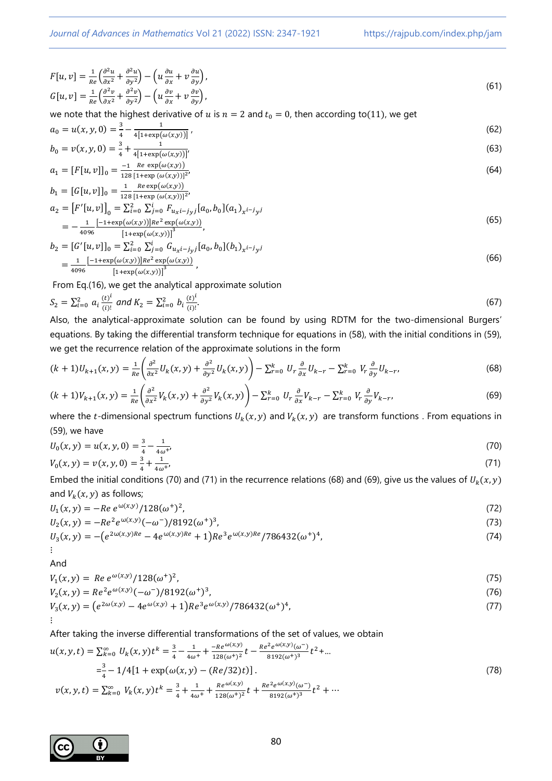*Journal of Advances in Mathematics* Vol 21 (2022) ISSN: 2347-1921 https://rajpub.com/index.php/jam

$$
F[u, v] = \frac{1}{\text{Re}} \left( \frac{\partial^2 u}{\partial x^2} + \frac{\partial^2 u}{\partial y^2} \right) - \left( u \frac{\partial u}{\partial x} + v \frac{\partial u}{\partial y} \right),
$$
  
\n
$$
G[u, v] = \frac{1}{\text{Re}} \left( \frac{\partial^2 v}{\partial x^2} + \frac{\partial^2 v}{\partial y^2} \right) - \left( u \frac{\partial v}{\partial x} + v \frac{\partial v}{\partial y} \right),
$$
\n(61)

we note that the highest derivative of  $u$  is  $n = 2$  and  $t_0 = 0$ , then according to(11), we get

$$
a_0 = u(x, y, 0) = \frac{3}{4} - \frac{1}{4[1 + \exp(\omega(x, y))]},
$$
\n
$$
u(x, y, 0) = \frac{3}{4} - \frac{1}{4[1 + \exp(\omega(x, y))]},
$$
\n
$$
u(x, y, 0) = \frac{3}{4} - \frac{1}{4[1 + \exp(\omega(x, y))]},
$$
\n
$$
u(x, y, 0) = \frac{3}{4} - \frac{1}{4[1 + \exp(\omega(x, y))]},
$$
\n
$$
u(x, y, 0) = \frac{3}{4} - \frac{1}{4[1 + \exp(\omega(x, y))]},
$$
\n
$$
u(x, y, 0) = \frac{3}{4} - \frac{1}{4[1 + \exp(\omega(x, y))]},
$$
\n
$$
u(x, y, 0) = \frac{3}{4} - \frac{1}{4[1 + \exp(\omega(x, y))]},
$$
\n
$$
u(x, y, 0) = \frac{3}{4} - \frac{1}{4[1 + \exp(\omega(x, y))]},
$$
\n
$$
u(x, y, 0) = \frac{3}{4} - \frac{1}{4[1 + \exp(\omega(x, y))]},
$$
\n
$$
u(x, y, 0) = \frac{3}{4} - \frac{1}{4[1 + \exp(\omega(x, y))]},
$$
\n
$$
u(x, y, 0) = \frac{3}{4} - \frac{1}{4[1 + \exp(\omega(x, y))]},
$$
\n
$$
u(x, y, 0) = \frac{3}{4} - \frac{1}{4[1 + \exp(\omega(x, y))]},
$$
\n
$$
u(x, y, 0) = \frac{3}{4} - \frac{1}{4[1 + \exp(\omega(x, y))]},
$$
\n
$$
u(x, y, 0) = \frac{3}{4} - \frac{1}{4[1 + \exp(\omega(x, y))]},
$$
\n
$$
u(x, y, 0) = \frac{3}{4} - \frac{1}{4[1 + \exp(\omega(x, y))]},
$$
\n
$$
u(x, y, 0) = \frac{3}{4} - \frac{1}{4[1 + \exp(\omega(x, y))]},
$$
\n
$$
u(x, y, 0) = \frac{3}{4} - \frac{1}{4[1 + \exp(\omega(x, y))]},
$$

$$
b_0 = v(x, y, 0) = \frac{3}{4} + \frac{1}{4[1 + \exp(\omega(x, y))]}
$$
  
\n
$$
a_1 = [F[u, v]]_0 = \frac{-1}{128} \frac{Re \exp(\omega(x, y))}{[1 + \exp(\omega(x, y))]^2},
$$
\n(64)

$$
b_1 = [G[u, v]]_0 = \frac{1}{128} \frac{Re \exp(\omega(x, y))}{[1 + exp(\omega(x, y))]^2},
$$
  
\n
$$
b_1 = [G[u, v]]_0 = \frac{1}{128} \frac{Re \exp(\omega(x, y))}{[1 + exp(\omega(x, y))]^2},
$$

$$
a_2 = [F'[u, v]]_0 = \sum_{i=0}^{2} \sum_{j=0}^{i} F_{u_x i - j_y j} [a_0, b_0](a_1)_{x^{i-j} y^j}
$$
  
= 
$$
-\frac{1}{4096} \frac{[-1 + \exp(\omega(x, y))] Re^2 \exp(\omega(x, y))}{[1 + \exp(\omega(x, y))]^3},
$$
 (65)

$$
b_2 = [G'[u, v]]_0 = \sum_{i=0}^{2} \sum_{j=0}^{i} G_{u_x i - j_y j} [a_0, b_0](b_1)_{x^{i-j} y^j}
$$
  
= 
$$
\frac{1}{4096} \frac{[-1 + \exp(\omega(x, y))] Re^2 \exp(\omega(x, y))}{[1 + \exp(\omega(x, y))]^3},
$$
 (66)

From Eq.(16), we get the analytical approximate solution

$$
S_2 = \sum_{i=0}^{2} a_i \frac{(t)^i}{(i)!} \text{ and } K_2 = \sum_{i=0}^{2} b_i \frac{(t)^i}{(i)!}. \tag{67}
$$

Also, the analytical-approximate solution can be found by using RDTM for the two-dimensional Burgers' equations. By taking the differential transform technique for equations in (58), with the initial conditions in (59), we get the recurrence relation of the approximate solutions in the form

$$
(k+1)U_{k+1}(x,y) = \frac{1}{Re} \left( \frac{\partial^2}{\partial x^2} U_k(x,y) + \frac{\partial^2}{\partial y^2} U_k(x,y) \right) - \sum_{r=0}^k U_r \frac{\partial}{\partial x} U_{k-r} - \sum_{r=0}^k V_r \frac{\partial}{\partial y} U_{k-r},
$$
(68)

$$
(k+1)V_{k+1}(x,y) = \frac{1}{Re} \left( \frac{\partial^2}{\partial x^2} V_k(x,y) + \frac{\partial^2}{\partial y^2} V_k(x,y) \right) - \sum_{r=0}^k U_r \frac{\partial}{\partial x} V_{k-r} - \sum_{r=0}^k V_r \frac{\partial}{\partial y} V_{k-r},\tag{69}
$$

where the t-dimensional spectrum functions  $U_k(x, y)$  and  $V_k(x, y)$  are transform functions . From equations in (59), we have

$$
U_0(x, y) = u(x, y, 0) = \frac{3}{4} - \frac{1}{4\omega^+},
$$
  
\n
$$
V_0(x, y) = v(x, y, 0) = \frac{3}{4} + \frac{1}{4\omega^+},
$$
\n(70)

$$
V_0(x,y) = V(x,y,0) = \frac{1}{4} + \frac{1}{4\omega^2}
$$
  
Embed the initial conditions (70) and (71) in the recurrence relations (68) and (69), give us the values of  $U_k(x,y)$   
and  $V_k(x,y)$  as follows;

 $U_1(x, y) = -Re e^{\omega(x, y)}/128(\omega^+)^2$ , (72)

$$
U_2(x,y) = -Re^2 e^{\omega(x,y)}(-\omega^-)/8192(\omega^+)^3,
$$
\n(73)

$$
U_3(x,y) = -\left(e^{2\omega(x,y)Re} - 4e^{\omega(x,y)Re} + 1\right)Re^3e^{\omega(x,y)Re}/786432(\omega^+)^4,
$$
\n(74)

And

$$
V_1(x, y) = Re \, e^{\omega(x, y)} / 128(\omega^+)^2, \tag{75}
$$

$$
V_2(x,y) = Re^2 e^{\omega(x,y)}(-\omega^-)/8192(\omega^+)^3,
$$
  
\n
$$
V_3(x,y) = (e^{2\omega(x,y)} - 4e^{\omega(x,y)} + 1)Re^3 e^{\omega(x,y)}/786432(\omega^+)^4,
$$
\n(77)

$$
\left| \cdot \right|
$$

After taking the inverse differential transformations of the set of values, we obtain

$$
u(x, y, t) = \sum_{k=0}^{\infty} U_k(x, y)t^k = \frac{3}{4} - \frac{1}{4\omega^+} + \frac{-Re^{\omega(x, y)}}{128(\omega^+)^2}t - \frac{Re^2 e^{\omega(x, y)}(\omega^-)}{8192(\omega^+)^3}t^2 + \dots
$$
  

$$
= \frac{3}{4} - 1/4[1 + \exp(\omega(x, y) - (Re/32)t)].
$$
  

$$
v(x, y, t) = \sum_{k=0}^{\infty} V_k(x, y)t^k = \frac{3}{4} + \frac{1}{4\omega^+} + \frac{Re^{\omega(x, y)}}{128(\omega^+)^2}t + \frac{Re^2 e^{\omega(x, y)}(\omega^-)}{8192(\omega^+)^3}t^2 + \dots
$$
 (78)

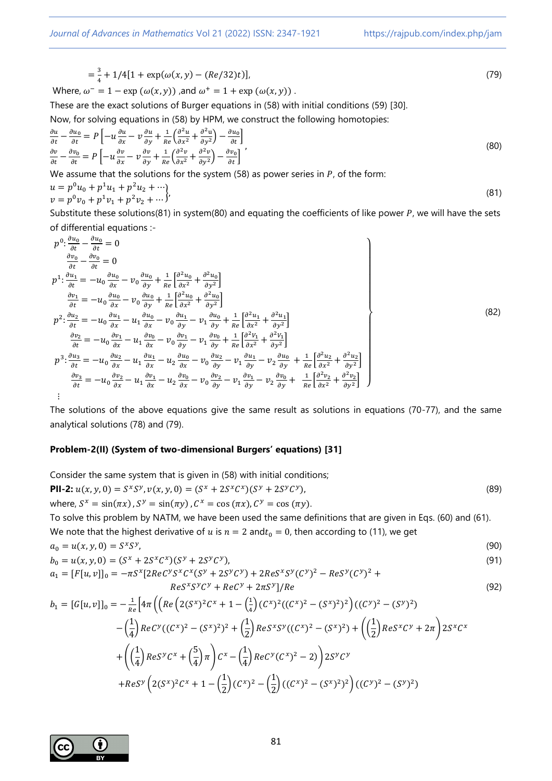$$
=\frac{3}{4} + 1/4[1 + \exp(\omega(x, y) - (Re/32)t)],
$$
\n(79)

Where, 
$$
\omega^- = 1 - \exp(\omega(x, y))
$$
, and  $\omega^+ = 1 + \exp(\omega(x, y))$ .

These are the exact solutions of Burger equations in (58) with initial conditions (59) [30].

Now, for solving equations in (58) by HPM, we construct the following homotopies:

$$
\frac{\partial u}{\partial t} - \frac{\partial u_0}{\partial t} = P \left[ -u \frac{\partial u}{\partial x} - v \frac{\partial u}{\partial y} + \frac{1}{Re} \left( \frac{\partial^2 u}{\partial x^2} + \frac{\partial^2 u}{\partial y^2} \right) - \frac{\partial u_0}{\partial t} \right]
$$
\n
$$
\frac{\partial v}{\partial t} - \frac{\partial v_0}{\partial t} = P \left[ -u \frac{\partial v}{\partial x} - v \frac{\partial v}{\partial y} + \frac{1}{Re} \left( \frac{\partial^2 v}{\partial x^2} + \frac{\partial^2 v}{\partial y^2} \right) - \frac{\partial v_0}{\partial t} \right]'
$$
\n(80)

We assume that the solutions for the system  $(58)$  as power series in  $P$ , of the form:

$$
u = p^{0}u_{0} + p^{1}u_{1} + p^{2}u_{2} + \cdots
$$
  
\n
$$
v = p^{0}v_{0} + p^{1}v_{1} + p^{2}v_{2} + \cdots
$$
\n(81)

Substitute these solutions(81) in system(80) and equating the coefficients of like power  $P$ , we will have the sets of differential equations :-

$$
p^{0}: \frac{\partial u_{0}}{\partial t} - \frac{\partial u_{0}}{\partial t} = 0
$$
\n
$$
\frac{\partial v_{0}}{\partial t} - \frac{\partial v_{0}}{\partial t} = 0
$$
\n
$$
p^{1}: \frac{\partial u_{1}}{\partial t} = -u_{0} \frac{\partial u_{0}}{\partial x} - v_{0} \frac{\partial u_{0}}{\partial y} + \frac{1}{Re} \left[ \frac{\partial^{2} u_{0}}{\partial x^{2}} + \frac{\partial^{2} u_{0}}{\partial y^{2}} \right]
$$
\n
$$
\frac{\partial v_{1}}{\partial t} = -u_{0} \frac{\partial u_{0}}{\partial x} - v_{0} \frac{\partial u_{0}}{\partial y} + \frac{1}{Re} \left[ \frac{\partial^{2} u_{0}}{\partial x^{2}} + \frac{\partial^{2} u_{0}}{\partial y^{2}} \right]
$$
\n
$$
p^{2}: \frac{\partial u_{2}}{\partial t} = -u_{0} \frac{\partial u_{1}}{\partial x} - u_{1} \frac{\partial u_{0}}{\partial x} - v_{0} \frac{\partial u_{1}}{\partial y} - v_{1} \frac{\partial u_{0}}{\partial y} + \frac{1}{Re} \left[ \frac{\partial^{2} u_{1}}{\partial x^{2}} + \frac{\partial^{2} u_{1}}{\partial y^{2}} \right]
$$
\n
$$
\frac{\partial v_{2}}{\partial t} = -u_{0} \frac{\partial v_{1}}{\partial x} - u_{1} \frac{\partial v_{0}}{\partial x} - v_{0} \frac{\partial v_{1}}{\partial y} - v_{1} \frac{\partial v_{0}}{\partial y} + \frac{1}{Re} \left[ \frac{\partial^{2} v_{1}}{\partial x^{2}} + \frac{\partial^{2} v_{1}}{\partial y^{2}} \right]
$$
\n
$$
p^{3}: \frac{\partial u_{3}}{\partial t} = -u_{0} \frac{\partial u_{2}}{\partial x} - u_{1} \frac{\partial u_{1}}{\partial x} - u_{2} \frac{\partial u_{0}}{\partial x} - v_{0} \frac{\partial u_{2}}{\partial y} - v_{1} \frac{\partial u_{1}}{\partial y} - v_{2} \frac{\partial u_{0}}{\partial y} + \frac{1}{Re} \left[ \frac{\partial^{2} u_{2}}{\partial x^{2}} + \frac{\partial^{2} u_{2}}{\partial y^{2}} \right]
$$
\n
$$
\frac{\partial v_{3}}{\partial
$$

The solutions of the above equations give the same result as solutions in equations (70-77), and the same analytical solutions (78) and (79).

#### **Problem-2(II) (System of two-dimensional Burgers' equations) [31]**

Consider the same system that is given in (58) with initial conditions;

**PII-2:** 
$$
u(x, y, 0) = S^x S^y
$$
,  $v(x, y, 0) = (S^x + 2S^x C^x)(S^y + 2S^y C^y)$ ,  
where,  $S^x = \sin(\pi x)$ ,  $S^y = \sin(\pi y)$ ,  $C^x = \cos(\pi x)$ ,  $C^y = \cos(\pi y)$ .  
To solve this problem by NATM, we have been used the same definitions that are given in Eqs. (60) and (61).  
We note that the highest derivative of *u* is *n* = 2 and *t*<sub>0</sub> = 0, then according to (11), we get

$$
a_0 = u(x, y, 0) = S^x S^y,
$$
  
\n
$$
b_0 = u(x, y, 0) = (S^x + 2S^x C^x)(S^y + 2S^y C^y),
$$
\n(90)

 $a_1 = [F[u, v]]_0 = -\pi S^x [2ReC^y S^x C^x (S^y + 2S^y C^y) + 2ReS^x S^y (C^y)^2 - ReS^y (C^y)^2 +$  $Res^xS^yC^y + Rec^y + 2\pi S^y$  $]/Re$  (92)

$$
b_1 = [G[u, v]]_0 = -\frac{1}{Re} \Big[ 4\pi \left( \left( Re \left( 2(S^x)^2 C^x + 1 - \left( \frac{1}{4} \right) (C^x)^2 ((C^x)^2 - (S^x)^2)^2 \right) ((C^y)^2 - (S^y)^2) \right) \right. \\ \left. - \left( \frac{1}{4} \right) Re C^y ((C^x)^2 - (S^x)^2)^2 + \left( \frac{1}{2} \right) Re S^x S^y ((C^x)^2 - (S^x)^2) + \left( \left( \frac{1}{2} \right) Re S^x C^y + 2\pi \right) 2S^x C^x \right. \\ \left. + \left( \left( \frac{1}{4} \right) Re S^y C^x + \left( \frac{5}{4} \right) \pi \right) C^x - \left( \frac{1}{4} \right) Re C^y (C^x)^2 - 2) \right) 2S^y C^y \right. \\ \left. + Re S^y \left( 2(S^x)^2 C^x + 1 - \left( \frac{1}{2} \right) (C^x)^2 - \left( \frac{1}{2} \right) ((C^x)^2 - (S^x)^2)^2 \right) ((C^y)^2 - (S^y)^2) \right)
$$

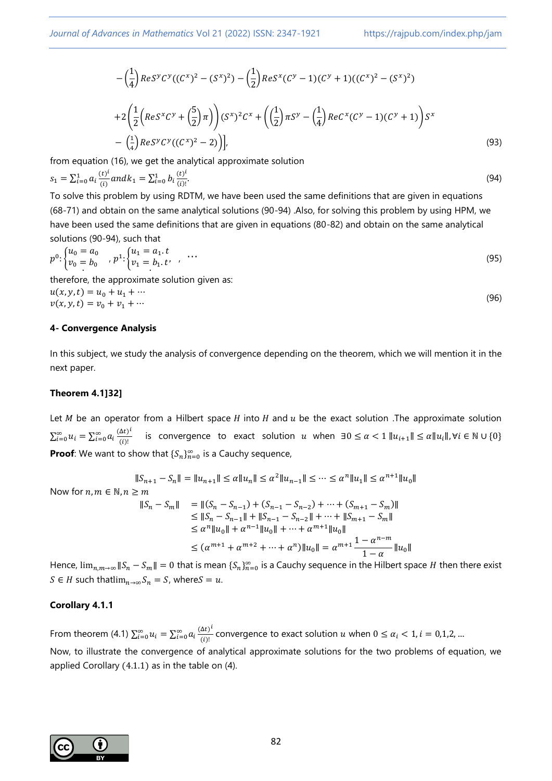$$
-\left(\frac{1}{4}\right) Res^{y} C^{y} ((C^{x})^{2} - (S^{x})^{2}) - \left(\frac{1}{2}\right) Res^{x} (C^{y} - 1) (C^{y} + 1) ((C^{x})^{2} - (S^{x})^{2})
$$
  
+2
$$
\left(\frac{1}{2} \left( Res^{x} C^{y} + \left(\frac{5}{2}\right) \pi \right) \right) (S^{x})^{2} C^{x} + \left(\left(\frac{1}{2}\right) \pi S^{y} - \left(\frac{1}{4}\right) Res^{x} (C^{y} - 1) (C^{y} + 1) \right) S^{x}
$$
  
-
$$
\left(\frac{1}{4}\right) Res^{y} C^{y} ((C^{x})^{2} - 2) \Big) \Big|,
$$
 (93)

from equation (16), we get the analytical approximate solution

$$
s_1 = \sum_{i=0}^1 a_i \frac{(t)^i}{(i)} and k_1 = \sum_{i=0}^1 b_i \frac{(t)^i}{(i)!}.
$$
\n(94)

To solve this problem by using RDTM, we have been used the same definitions that are given in equations (68-71) and obtain on the same analytical solutions (90-94) .Also, for solving this problem by using HPM, we have been used the same definitions that are given in equations (80-82) and obtain on the same analytical solutions (90-94), such that

$$
p^{0} \cdot \begin{cases} u_{0} = a_{0} \\ v_{0} = b_{0} \end{cases}, p^{1} \cdot \begin{cases} u_{1} = a_{1} \cdot t \\ v_{1} = b_{1} \cdot t \end{cases}, \dots \tag{95}
$$

therefore, the approximate solution given as:

$$
u(x, y, t) = u_0 + u_1 + \cdots
$$
  
\n
$$
v(x, y, t) = v_0 + v_1 + \cdots
$$
\n(96)

#### **4- Convergence Analysis**

In this subject, we study the analysis of convergence depending on the theorem, which we will mention it in the next paper.

#### **Theorem 4.1]32[**

Let *M* be an operator from a Hilbert space *H* into *H* and  $u$  be the exact solution .The approximate solution  $\sum_{i=0}^{\infty} u_i = \sum_{i=0}^{\infty} a_i \frac{(\Delta t)^i}{(i)!}$ <u>at)</u> is convergence to exact solution *u* when  $\exists 0 \le \alpha < 1$  ||u<sub>i+1</sub>|| ≤  $\alpha$ ||u<sub>i</sub>||,∀*i* ∈ N ∪ {0} **Proof**: We want to show that  $\{S_n\}_{n=0}^{\infty}$  is a Cauchy sequence,

$$
\|S_{n+1} - S_n\| = \|u_{n+1}\| \le \alpha \|u_n\| \le \alpha^2 \|u_{n-1}\| \le \dots \le \alpha^n \|u_1\| \le \alpha^{n+1} \|u_0\|
$$
  
Now for  $n, m \in \mathbb{N}, n \ge m$   

$$
\|S_n - S_m\| = \| (S_n - S_{n-1}) + (S_{n-1} - S_{n-2}) + \dots + (S_{m+1} - S_m) \|
$$

$$
\le \|S_n - S_{n-1}\| + \|S_{n-1} - S_{n-2}\| + \dots + \|S_{m+1} - S_m\|
$$

$$
\le \alpha^n \|u_0\| + \alpha^{n-1} \|u_0\| + \dots + \alpha^{m+1} \|u_0\|
$$

$$
\le (\alpha^{m+1} + \alpha^{m+2} + \dots + \alpha^n) \|u_0\| = \alpha^{m+1} \frac{1 - \alpha^{n-m}}{1 - \alpha} \|u_0\|
$$

Hence,  $\lim_{n,m\to\infty}||S_n-S_m||=0$  that is mean  $\{S_n\}_{n=0}^\infty$  is a Cauchy sequence in the Hilbert space H then there exist  $S \in H$  such thatlim<sub>n→∞</sub>  $S_n = S$ , where  $S = u$ .

#### **Corollary 4.1.1**

From theorem (4.1)  $\sum_{i=0}^{\infty} u_i = \sum_{i=0}^{\infty} a_i \frac{(\Delta t)^i}{(i)!}$  $\frac{\Delta(t)}{t^{(i)}}$  convergence to exact solution u when  $0 \leq \alpha_i < 1$ ,  $i = 0,1,2,...$ Now, to illustrate the convergence of analytical approximate solutions for the two problems of equation, we applied Corollary (4.1.1) as in the table on (4).

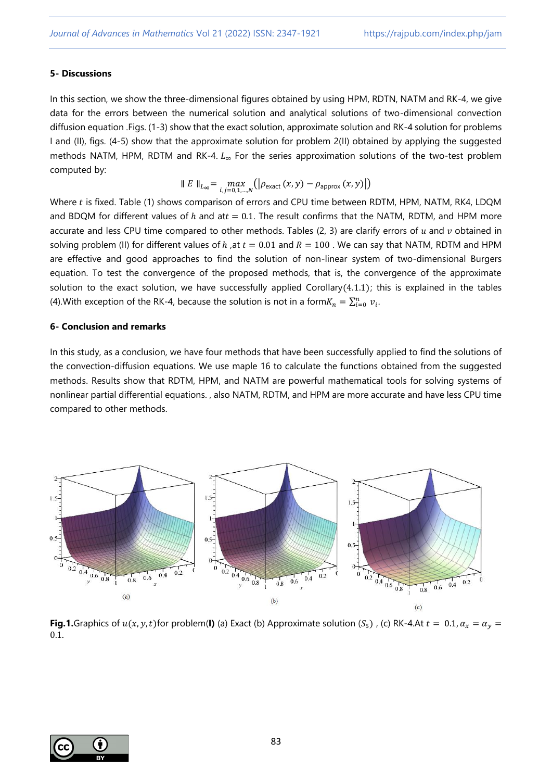## **5- Discussions**

In this section, we show the three-dimensional figures obtained by using HPM, RDTN, NATM and RK-4, we give data for the errors between the numerical solution and analytical solutions of two-dimensional convection diffusion equation .Figs. (1-3) show that the exact solution, approximate solution and RK-4 solution for problems I and (II), figs. (4-5) show that the approximate solution for problem 2(II) obtained by applying the suggested methods NATM, HPM, RDTM and RK-4.  $L_{\infty}$  For the series approximation solutions of the two-test problem computed by:

$$
\parallel E \parallel_{L_{\infty}} = \max_{i,j=0,1,\dots,N} (|\rho_{\text{exact}}(x,y) - \rho_{\text{approx}}(x,y)|)
$$

Where  $t$  is fixed. Table (1) shows comparison of errors and CPU time between RDTM, HPM, NATM, RK4, LDQM and BDQM for different values of h and at  $t = 0.1$ . The result confirms that the NATM, RDTM, and HPM more accurate and less CPU time compared to other methods. Tables (2, 3) are clarify errors of  $u$  and  $v$  obtained in solving problem (II) for different values of h, at  $t = 0.01$  and  $R = 100$ . We can say that NATM, RDTM and HPM are effective and good approaches to find the solution of non-linear system of two-dimensional Burgers equation. To test the convergence of the proposed methods, that is, the convergence of the approximate solution to the exact solution, we have successfully applied Corollary(4.1.1); this is explained in the tables (4). With exception of the RK-4, because the solution is not in a form $K_n = \sum_{i=0}^n v_i$ .

### **6- Conclusion and remarks**

In this study, as a conclusion, we have four methods that have been successfully applied to find the solutions of the convection-diffusion equations. We use maple 16 to calculate the functions obtained from the suggested methods. Results show that RDTM, HPM, and NATM are powerful mathematical tools for solving systems of nonlinear partial differential equations. , also NATM, RDTM, and HPM are more accurate and have less CPU time compared to other methods.



**Fig.1.**Graphics of  $u(x, y, t)$  for problem(**I)** (a) Exact (b) Approximate solution (S<sub>5</sub>), (c) RK-4.At  $t = 0.1$ ,  $\alpha_x = \alpha_y =$ 0.1.

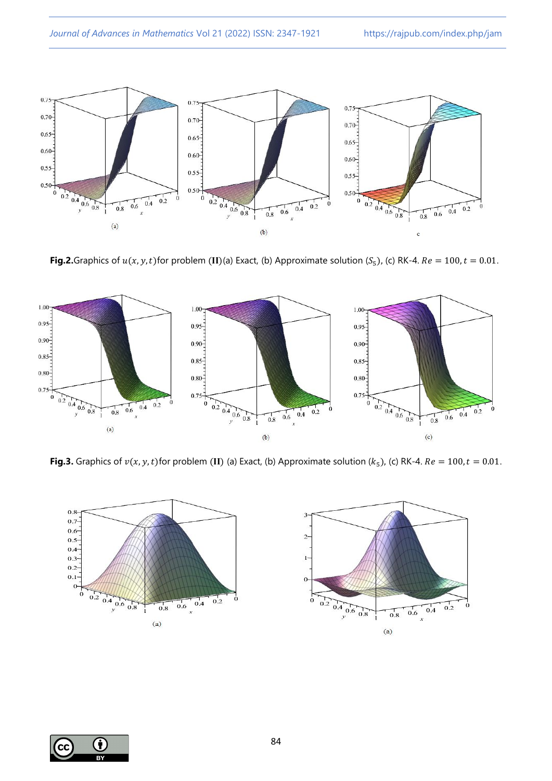

**Fig.2.**Graphics of  $u(x, y, t)$  for problem (II)(a) Exact, (b) Approximate solution ( $S_5$ ), (c) RK-4.  $Re = 100, t = 0.01$ .



**Fig.3.** Graphics of  $v(x, y, t)$  for problem (II) (a) Exact, (b) Approximate solution ( $k_5$ ), (c) RK-4.  $Re = 100, t = 0.01$ .



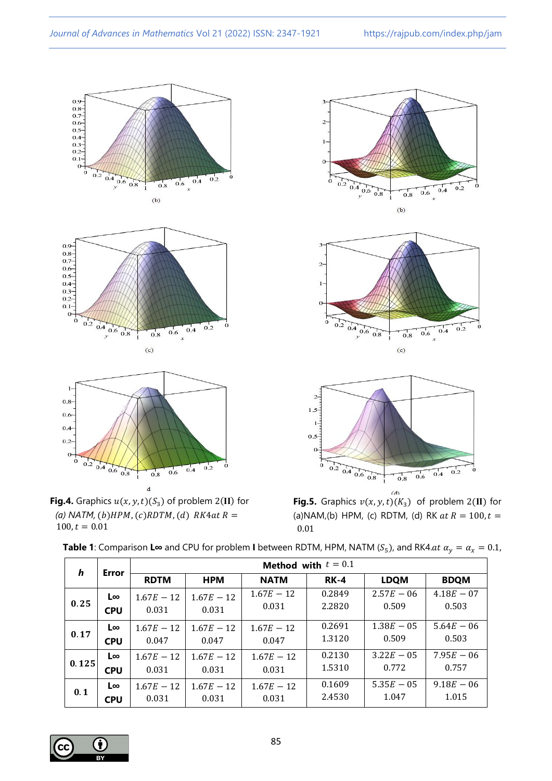











**Fig.5.** Graphics  $v(x, y, t)(K_3)$  of problem 2(II) for (a)NAM,(b) HPM, (c) RDTM, (d) RK  $at R = 100, t =$ 0.01

| $\boldsymbol{h}$ | Error      | Method with $t = 0.1$ |              |              |             |              |              |
|------------------|------------|-----------------------|--------------|--------------|-------------|--------------|--------------|
|                  |            | <b>RDTM</b>           | <b>HPM</b>   | <b>NATM</b>  | <b>RK-4</b> | <b>LDQM</b>  | <b>BDQM</b>  |
| 0.25             | L∞         | $1.67E - 12$          | $1.67E - 12$ | $1.67E - 12$ | 0.2849      | $2.57E - 06$ | $4.18E - 07$ |
|                  | <b>CPU</b> | 0.031                 | 0.031        | 0.031        | 2.2820      | 0.509        | 0.503        |
| 0.17             | L∞         | $1.67E - 12$          | $1.67E - 12$ | $1.67E - 12$ | 0.2691      | $1.38E - 05$ | $5.64E - 06$ |
|                  | <b>CPU</b> | 0.047                 | 0.047        | 0.047        | 1.3120      | 0.509        | 0.503        |
| 0.125            | $L\infty$  | $1.67E - 12$          | $1.67E - 12$ | $1.67E - 12$ | 0.2130      | $3.22E - 05$ | $7.95E - 06$ |
|                  | <b>CPU</b> | 0.031                 | 0.031        | 0.031        | 1.5310      | 0.772        | 0.757        |
| 0.1              | $L\infty$  | $1.67E - 12$          | $1.67E - 12$ | $1.67E - 12$ | 0.1609      | $5.35E - 05$ | $9.18E - 06$ |
|                  | <b>CPU</b> | 0.031                 | 0.031        | 0.031        | 2.4530      | 1.047        | 1.015        |

**Table 1**: Comparison **L∞** and CPU for problem **I** between RDTM, HPM, NATM ( $S_5$ ), and RK4. $at \alpha_y = \alpha_x = 0.1$ ,

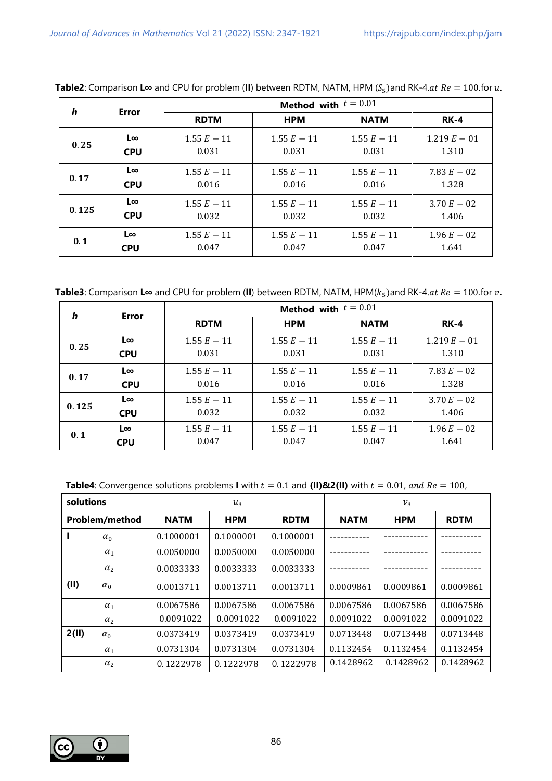| $\boldsymbol{h}$ | Error                                      | Method with $t = 0.01$ |                        |                                                   |               |  |  |
|------------------|--------------------------------------------|------------------------|------------------------|---------------------------------------------------|---------------|--|--|
|                  |                                            | <b>RDTM</b>            | <b>HPM</b>             | <b>NATM</b>                                       | $RK-4$        |  |  |
| 0.25             | L∞<br>$1.55 E - 11$<br>0.031<br><b>CPU</b> |                        | $1.55 E - 11$<br>0.031 | $1.55 E - 11$<br>$1.219 E - 01$<br>0.031<br>1.310 |               |  |  |
| 0.17             | L∞                                         | $1.55 E - 11$          | $1.55 E - 11$          | $1.55 E - 11$                                     | 7.83 $E - 02$ |  |  |
|                  | <b>CPU</b>                                 | 0.016                  | 0.016                  | 0.016                                             | 1.328         |  |  |
| 0.125            | $L\infty$                                  | $1.55 E - 11$          | $1.55 E - 11$          | $1.55 E - 11$                                     | $3.70 E - 02$ |  |  |
|                  | <b>CPU</b>                                 | 0.032                  | 0.032                  | 0.032                                             | 1.406         |  |  |
| 0.1              | L∞                                         | $1.55 E - 11$          | $1.55 E - 11$          | $1.55 E - 11$                                     | $1.96 E - 02$ |  |  |
|                  | <b>CPU</b>                                 | 0.047                  | 0.047                  | 0.047                                             | 1.641         |  |  |

**Table2**: Comparison **L∞** and CPU for problem (**II**) between RDTM, NATM, HPM ( $S<sub>5</sub>$ ) and RK-4.  $\alpha t$   $Re = 100$  for  $u$ .

**Table3**: Comparison **L∞** and CPU for problem (**II**) between RDTM, NATM, HPM( $k_5$ )and RK-4. $at$   $Re = 100$ .for  $v$ .

| h     | Error                                      | Method with $t = 0.01$ |                        |                        |                        |  |  |
|-------|--------------------------------------------|------------------------|------------------------|------------------------|------------------------|--|--|
|       |                                            | <b>RDTM</b>            | <b>HPM</b>             | <b>NATM</b>            | <b>RK-4</b>            |  |  |
| 0.25  | L∞                                         | $1.55 E - 11$          | $1.55 E - 11$          | $1.55 E - 11$          | $1.219 E - 01$         |  |  |
|       | <b>CPU</b>                                 | 0.031                  | 0.031                  | 0.031                  | 1.310                  |  |  |
| 0.17  | L∞                                         | $1.55 E - 11$          | $1.55 E - 11$          | $1.55 E - 11$          | 7.83 $E - 02$          |  |  |
|       | <b>CPU</b>                                 | 0.016                  | 0.016                  | 0.016                  | 1.328                  |  |  |
| 0.125 | L∞<br>$1.55 E - 11$<br>0.032<br><b>CPU</b> |                        | $1.55 E - 11$<br>0.032 | $1.55 E - 11$<br>0.032 | $3.70 E - 02$<br>1.406 |  |  |
| 0.1   | L∞                                         | $1.55 E - 11$          | $1.55 E - 11$          | $1.55 E - 11$          | $1.96 E - 02$          |  |  |
|       | <b>CPU</b>                                 | 0.047                  | 0.047                  | 0.047                  | 1.641                  |  |  |

| solutions           |             | $u_3$      |             | $v_{3}$     |            |             |
|---------------------|-------------|------------|-------------|-------------|------------|-------------|
| Problem/method      | <b>NATM</b> | <b>HPM</b> | <b>RDTM</b> | <b>NATM</b> | <b>HPM</b> | <b>RDTM</b> |
| $\alpha_0$          | 0.1000001   | 0.1000001  | 0.1000001   |             |            |             |
| $\alpha_1$          | 0.0050000   | 0.0050000  | 0.0050000   |             |            |             |
| $\alpha_2$          | 0.0033333   | 0.0033333  | 0.0033333   |             |            |             |
| (II)<br>$\alpha_0$  | 0.0013711   | 0.0013711  | 0.0013711   | 0.0009861   | 0.0009861  | 0.0009861   |
| $\alpha_1$          | 0.0067586   | 0.0067586  | 0.0067586   | 0.0067586   | 0.0067586  | 0.0067586   |
| $\alpha_2$          | 0.0091022   | 0.0091022  | 0.0091022   | 0.0091022   | 0.0091022  | 0.0091022   |
| 2(II)<br>$\alpha_0$ | 0.0373419   | 0.0373419  | 0.0373419   | 0.0713448   | 0.0713448  | 0.0713448   |
| $\alpha_1$          | 0.0731304   | 0.0731304  | 0.0731304   | 0.1132454   | 0.1132454  | 0.1132454   |
| $\alpha_2$          | 0.1222978   | 0.1222978  | 0.1222978   | 0.1428962   | 0.1428962  | 0.1428962   |

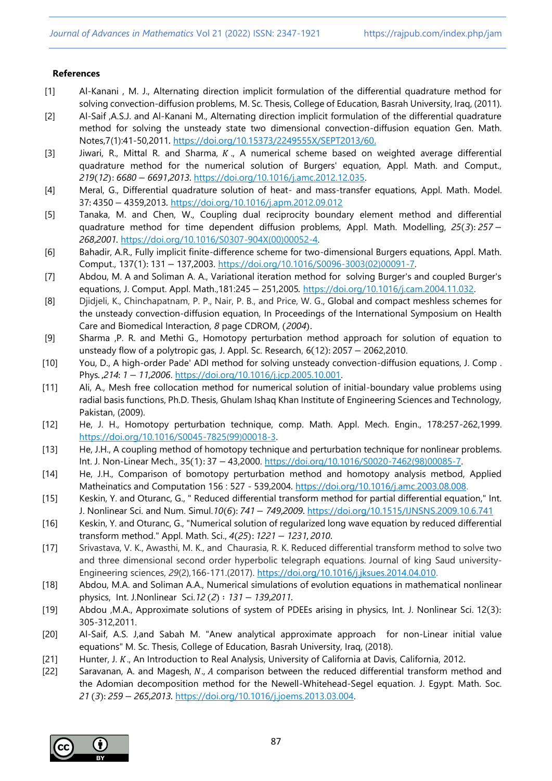### **References**

- [1] Al-Kanani , M. J., Alternating direction implicit formulation of the differential quadrature method for solving convection-diffusion problems, M. Sc. Thesis, College of Education, Basrah University, Iraq, (2011).
- [2] Al-Saif ,A.S.J. and Al-Kanani M., Alternating direction implicit formulation of the differential quadrature method for solving the unsteady state two dimensional convection-diffusion equation Gen. Math. Notes,7(1):41-50,2011. https://doi.org[/10.15373/2249555X/SEPT2013/60.](http://dx.doi.org/10.15373/2249555X/SEPT2013/60)
- [3] Jiwari, R., Mittal R. and Sharma,  $K_{\text{u}}$ , A numerical scheme based on weighted average differential quadrature method for the numerical solution of Burgers' equation, Appl. Math. and Comput., *219*(*12*): *6680*− *6691*,*2013*. [https://doi.org/10.1016/j.amc.2012.12.035.](https://doi.org/10.1016/j.amc.2012.12.035)
- [4] Meral, G., Differential quadrature solution of heat- and mass-transfer equations, Appl. Math. Model. 37: 4350− 4359,2013. <https://doi.org/10.1016/j.apm.2012.09.012>
- [5] Tanaka, M. and Chen, W., Coupling dual reciprocity boundary element method and differential quadrature method for time dependent diffusion problems, Appl. Math. Modelling, *25*(*3*): *257*− *268*,*2001*. [https://doi.org/10.1016/S0307-904X\(00\)00052-4.](https://doi.org/10.1016/S0307-904X(00)00052-4)
- [6] Bahadir, A.R., Fully implicit finite-difference scheme for two-dimensional Burgers equations, Appl. Math. Comput., 137(1): 131− 137,2003. [https://doi.org/10.1016/S0096-3003\(02\)00091-7.](https://doi.org/10.1016/S0096-3003(02)00091-7)
- [7] Abdou, M. A and Soliman A. A., Variational iteration method for solving Burger's and coupled Burger's equations, J. Comput. Appl. Math.,181:245− 251,2005. [https://doi.org/10.1016/j.cam.2004.11.032.](https://doi.org/10.1016/j.cam.2004.11.032)
- [8] Djidjeli, K., Chinchapatnam, P. P., Nair, P. B., and Price, W. G., Global and compact meshless schemes for the unsteady convection-diffusion equation, In Proceedings of the International Symposium on Health Care and Biomedical Interaction, *8* page CDROM, (*2004*).
- [9] Sharma ,P. R. and Methi G., Homotopy perturbation method approach for solution of equation to unsteady flow of a polytropic gas, J. Appl. Sc. Research, 6(12): 2057 −2062,2010.
- [10] You, D., A high-order Pade' ADI method for solving unsteady convection-diffusion equations, J. Comp . Phys. ,*214*: *1*− *11*,*2006*[. https://doi.org/10.1016/j.jcp.2005.10.001.](https://doi.org/10.1016/j.jcp.2005.10.001)
- [11] Ali, A., Mesh free collocation method for numerical solution of initial-boundary value problems using radial basis functions, Ph.D. Thesis, Ghulam Ishaq Khan Institute of Engineering Sciences and Technology, Pakistan, (2009).
- [12] He, J. H., Homotopy perturbation technique, comp. Math. Appl. Mech. Engin., 178:257-262,1999. [https://doi.org/10.1016/S0045-7825\(99\)00018-3.](https://doi.org/10.1016/S0045-7825(99)00018-3)
- [13] He, J.H., A coupling method of homotopy technique and perturbation technique for nonlinear problems. Int. J. Non-Linear Mech., 35(1): 37 − 43,2000. [https://doi.org/10.1016/S0020-7462\(98\)00085-7.](https://doi.org/10.1016/S0020-7462(98)00085-7)
- [14] He, J.H., Comparison of bomotopy perturbation method and homotopy analysis metbod, Applied Matheinatics and Computation 156 : 527 - 539,2004. [https://doi.org/10.1016/j.amc.2003.08.008.](https://doi.org/10.1016/j.amc.2003.08.008)
- [15] Keskin, Y. and Oturanc, G., " Reduced differential transform method for partial differential equation," Int. J. Nonlinear Sci. and Num. Simul.*10*(*6*): *741*− *749*,*2009*. https://doi.org/10.1515/IJNSNS.2009.10.6.741
- [16] Keskin, Y. and Oturanc, G., "Numerical solution of regularized long wave equation by reduced differential transform method." Appl. Math. Sci., *4*(*25*): *1221*− *1231*, *2010*.
- [17] Srivastava, V. K., Awasthi, M. K., and Chaurasia, R. K. Reduced differential transform method to solve two and three dimensional second order hyperbolic telegraph equations. Journal of king Saud university-Engineering sciences, *29*(2),166-171.(2017). [https://doi.org/10.1016/j.jksues.2014.04.010.](https://doi.org/10.1016/j.jksues.2014.04.010)
- [18] Abdou, M.A. and Soliman A.A., Numerical simulations of evolution equations in mathematical nonlinear physics, Int. J.Nonlinear Sci.*12* (*2*) ∶ *131*− *139*,*2011*.
- [19] Abdou ,M.A., Approximate solutions of system of PDEEs arising in physics, Int. J. Nonlinear Sci. 12(3): 305-312,2011.
- [20] Al-Saif, A.S. J,and Sabah M. "Anew analytical approximate approach for non-Linear initial value equations" M. Sc. Thesis, College of Education, Basrah University, Iraq, (2018).
- [21] Hunter, J.  $K_{\nu}$ , An Introduction to Real Analysis, University of California at Davis, California, 2012.
- [22] Saravanan, A. and Magesh, N., A comparison between the reduced differential transform method and the Adomian decomposition method for the Newell-Whitehead-Segel equation. J. Egypt. Math. Soc. *21* (*3*): *259*− *265*,*2013*. [https://doi.org/10.1016/j.joems.2013.03.004.](https://doi.org/10.1016/j.joems.2013.03.004)